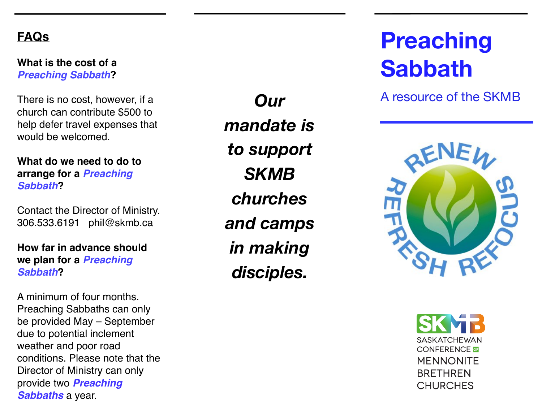# **FAQs**

**What is the cost of a**  *Preaching Sabbath* **?**

There is no cost, however, if a church can contribute \$500 to help defer travel expenses that would be welcomed.

#### **What do we need to do to arrange for a** *Preaching Sabbath* **?**

Contact the Director of Ministry. 306.533.6191 phil@skmb.ca

**How far in advance should we plan for a** *Preaching Sabbath* **?**

A minimum of four months. Preaching Sabbaths can only be provided May – September due to potential inclement weather and poor road conditions. Please note that the Director of Ministry can only provide two *Preaching Sabbaths* a year.

*Our mandate is to support SKMB churches and camps in making disciples.*

# **Preaching Sabbath**

A resource of the SKMB



SASKATCHEWAN **CONFERENCE MENNONITE BRETHREN CHURCHES**